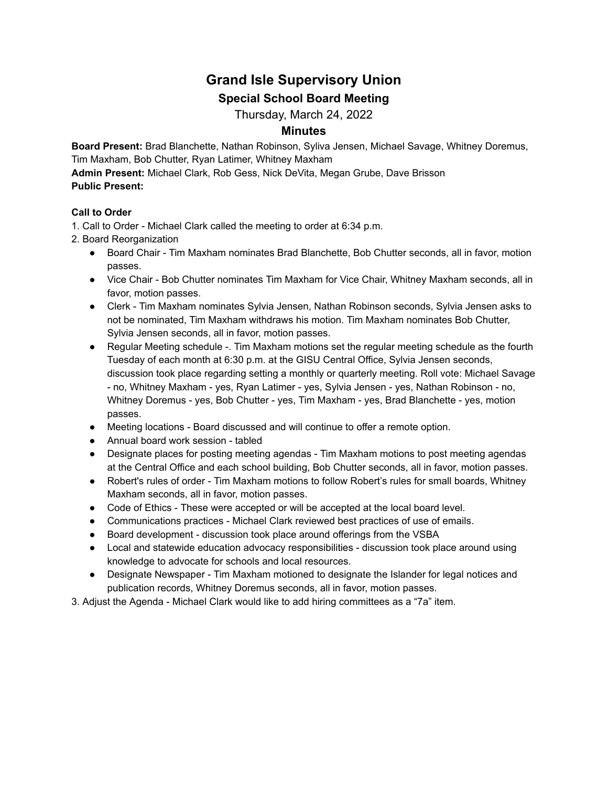# **Grand Isle Supervisory Union Special School Board Meeting**

Thursday, March 24, 2022

## **Minutes**

**Board Present:** Brad Blanchette, Nathan Robinson, Syliva Jensen, Michael Savage, Whitney Doremus, Tim Maxham, Bob Chutter, Ryan Latimer, Whitney Maxham

**Admin Present:** Michael Clark, Rob Gess, Nick DeVita, Megan Grube, Dave Brisson **Public Present:**

### **Call to Order**

1. Call to Order - Michael Clark called the meeting to order at 6:34 p.m.

- 2. Board Reorganization
	- Board Chair Tim Maxham nominates Brad Blanchette, Bob Chutter seconds, all in favor, motion passes.
	- Vice Chair Bob Chutter nominates Tim Maxham for Vice Chair, Whitney Maxham seconds, all in favor, motion passes.
	- Clerk Tim Maxham nominates Sylvia Jensen, Nathan Robinson seconds, Sylvia Jensen asks to not be nominated, Tim Maxham withdraws his motion. Tim Maxham nominates Bob Chutter, Sylvia Jensen seconds, all in favor, motion passes.
	- Regular Meeting schedule -. Tim Maxham motions set the regular meeting schedule as the fourth Tuesday of each month at 6:30 p.m. at the GISU Central Office, Sylvia Jensen seconds, discussion took place regarding setting a monthly or quarterly meeting. Roll vote: Michael Savage - no, Whitney Maxham - yes, Ryan Latimer - yes, Sylvia Jensen - yes, Nathan Robinson - no, Whitney Doremus - yes, Bob Chutter - yes, Tim Maxham - yes, Brad Blanchette - yes, motion passes.
	- Meeting locations Board discussed and will continue to offer a remote option.
	- Annual board work session tabled
	- Designate places for posting meeting agendas Tim Maxham motions to post meeting agendas at the Central Office and each school building, Bob Chutter seconds, all in favor, motion passes.
	- Robert's rules of order Tim Maxham motions to follow Robert's rules for small boards, Whitney Maxham seconds, all in favor, motion passes.
	- Code of Ethics These were accepted or will be accepted at the local board level.
	- Communications practices Michael Clark reviewed best practices of use of emails.
	- Board development discussion took place around offerings from the VSBA
	- Local and statewide education advocacy responsibilities discussion took place around using knowledge to advocate for schools and local resources.
	- Designate Newspaper Tim Maxham motioned to designate the Islander for legal notices and publication records, Whitney Doremus seconds, all in favor, motion passes.
- 3. Adjust the Agenda Michael Clark would like to add hiring committees as a "7a" item.